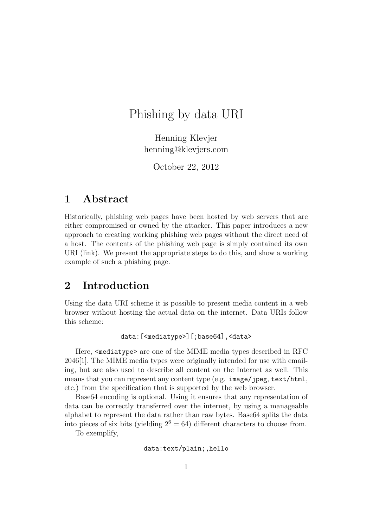# Phishing by data URI

Henning Klevjer henning@klevjers.com

October 22, 2012

### 1 Abstract

Historically, phishing web pages have been hosted by web servers that are either compromised or owned by the attacker. This paper introduces a new approach to creating working phishing web pages without the direct need of a host. The contents of the phishing web page is simply contained its own URI (link). We present the appropriate steps to do this, and show a working example of such a phishing page.

# 2 Introduction

Using the data URI scheme it is possible to present media content in a web browser without hosting the actual data on the internet. Data URIs follow this scheme:

```
data:[<mediatype>][;base64],<data>
```
Here,  $\leq$  mediatype> are one of the MIME media types described in RFC 2046[1]. The MIME media types were originally intended for use with emailing, but are also used to describe all content on the Internet as well. This means that you can represent any content type (e.g. image/jpeg, text/html, etc.) from the specification that is supported by the web browser.

Base64 encoding is optional. Using it ensures that any representation of data can be correctly transferred over the internet, by using a manageable alphabet to represent the data rather than raw bytes. Base64 splits the data into pieces of six bits (yielding  $2^6 = 64$ ) different characters to choose from.

To exemplify,

#### data:text/plain;,hello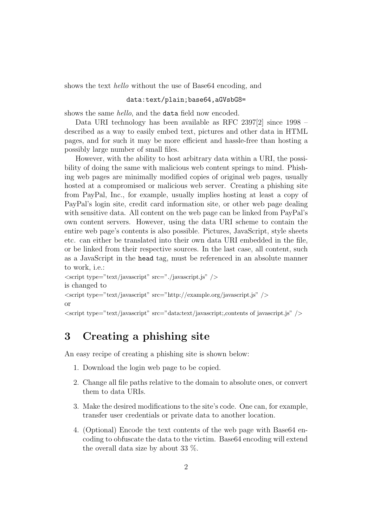shows the text hello without the use of Base64 encoding, and

#### data:text/plain;base64,aGVsbG8=

shows the same hello, and the data field now encoded.

Data URI technology has been available as RFC 2397[2] since 1998 – described as a way to easily embed text, pictures and other data in HTML pages, and for such it may be more efficient and hassle-free than hosting a possibly large number of small files.

However, with the ability to host arbitrary data within a URI, the possibility of doing the same with malicious web content springs to mind. Phishing web pages are minimally modified copies of original web pages, usually hosted at a compromised or malicious web server. Creating a phishing site from PayPal, Inc., for example, usually implies hosting at least a copy of PayPal's login site, credit card information site, or other web page dealing with sensitive data. All content on the web page can be linked from PayPal's own content servers. However, using the data URI scheme to contain the entire web page's contents is also possible. Pictures, JavaScript, style sheets etc. can either be translated into their own data URI embedded in the file, or be linked from their respective sources. In the last case, all content, such as a JavaScript in the head tag, must be referenced in an absolute manner to work, i.e.:

```
\langle \text{script type} = \text{"text/javascript"} \text{ src} = \text{"javascript.js"}is changed to
\langle \text{script type} = \text{"text/javascript"} \text{ src} = \text{"http://example.org/javascript.js"}or
\leqscript type="text/javascript" src="data:text/javascript;,contents of javascript.js" />
```
# 3 Creating a phishing site

An easy recipe of creating a phishing site is shown below:

- 1. Download the login web page to be copied.
- 2. Change all file paths relative to the domain to absolute ones, or convert them to data URIs.
- 3. Make the desired modifications to the site's code. One can, for example, transfer user credentials or private data to another location.
- 4. (Optional) Encode the text contents of the web page with Base64 encoding to obfuscate the data to the victim. Base64 encoding will extend the overall data size by about 33 %.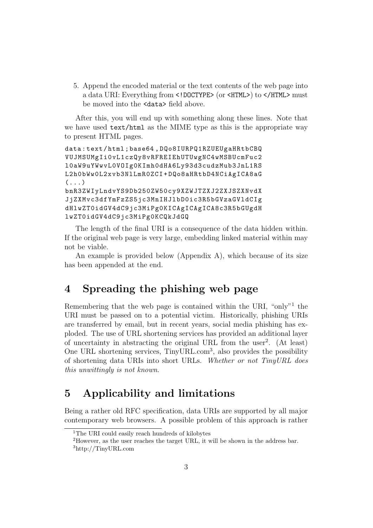5. Append the encoded material or the text contents of the web page into a data URI: Everything from <!DOCTYPE> (or <HTML>) to </HTML> must be moved into the <data> field above.

After this, you will end up with something along these lines. Note that we have used text/html as the MIME type as this is the appropriate way to present HTML pages.

```
data : text / html ; base64 , DQo8IURPQ1RZUEUgaHRtbCBQ
VUJMSUMgIi0vL1czQy8vRFREIEhUTUwgNC4wMSBUcmFuc2
l0aW9uYWwvL0VOIg0KImh0dHA6Ly93d3cudzMub3JnL1RS
L2h0bWw0L2xvb3NlLmR0ZCI + DQo8aHRtbD4NCiAgICA8aG
( \ldots )bnR3ZWIyLndvYS9Db250ZW50cy9XZWJTZXJ2ZXJSZXNvdX
JjZXMvc3dfYmFzZS5jc3MnIHJlbD0ic3R5bGVzaGVldCIg
dHlwZT0idGV4dC9jc3MiPg0KICAgICAgICA8c3R5bGUgdH
lwZT0idGV4dC9jc3MiPg0KCQkJdGQ
```
The length of the final URI is a consequence of the data hidden within. If the original web page is very large, embedding linked material within may not be viable.

An example is provided below (Appendix A), which because of its size has been appended at the end.

# 4 Spreading the phishing web page

Remembering that the web page is contained within the URI, "only"<sup>1</sup> the URI must be passed on to a potential victim. Historically, phishing URIs are transferred by email, but in recent years, social media phishing has exploded. The use of URL shortening services has provided an additional layer of uncertainty in abstracting the original URL from the user<sup>2</sup> . (At least) One URL shortening services, TinyURL.com<sup>3</sup>, also provides the possibility of shortening data URIs into short URLs. Whether or not TinyURL does this unwittingly is not known.

## 5 Applicability and limitations

Being a rather old RFC specification, data URIs are supported by all major contemporary web browsers. A possible problem of this approach is rather

<sup>&</sup>lt;sup>1</sup>The URI could easily reach hundreds of kilobytes

<sup>2</sup>However, as the user reaches the target URL, it will be shown in the address bar.

<sup>3</sup>http://TinyURL.com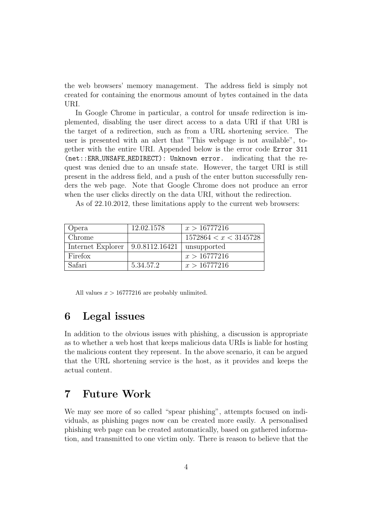the web browsers' memory management. The address field is simply not created for containing the enormous amount of bytes contained in the data URI.

In Google Chrome in particular, a control for unsafe redirection is implemented, disabling the user direct access to a data URI if that URI is the target of a redirection, such as from a URL shortening service. The user is presented with an alert that "This webpage is not available", together with the entire URI. Appended below is the error code Error 311 (net::ERR UNSAFE REDIRECT): Unknown error. indicating that the request was denied due to an unsafe state. However, the target URI is still present in the address field, and a push of the enter button successfully renders the web page. Note that Google Chrome does not produce an error when the user clicks directly on the data URI, without the redirection.

As of 22.10.2012, these limitations apply to the current web browsers:

| Opera                                | 12.02.1578 | x > 16777216          |
|--------------------------------------|------------|-----------------------|
| Chrome                               |            | 1572864 < x < 3145728 |
| Internet Explorer   $9.0.8112.16421$ |            | unsupported           |
| Firefox                              |            | x > 16777216          |
| Safari                               | 5.34.57.2  | x > 16777216          |

All values  $x > 16777216$  are probably unlimited.

#### 6 Legal issues

In addition to the obvious issues with phishing, a discussion is appropriate as to whether a web host that keeps malicious data URIs is liable for hosting the malicious content they represent. In the above scenario, it can be argued that the URL shortening service is the host, as it provides and keeps the actual content.

### 7 Future Work

We may see more of so called "spear phishing", attempts focused on individuals, as phishing pages now can be created more easily. A personalised phishing web page can be created automatically, based on gathered information, and transmitted to one victim only. There is reason to believe that the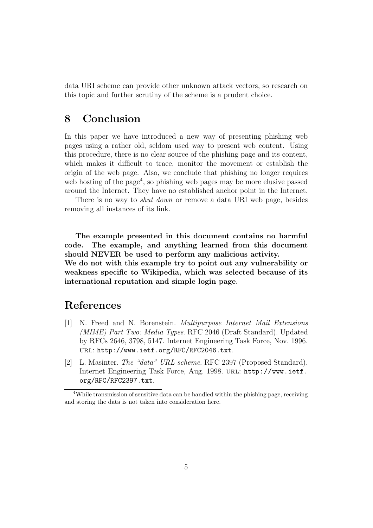data URI scheme can provide other unknown attack vectors, so research on this topic and further scrutiny of the scheme is a prudent choice.

### 8 Conclusion

In this paper we have introduced a new way of presenting phishing web pages using a rather old, seldom used way to present web content. Using this procedure, there is no clear source of the phishing page and its content, which makes it difficult to trace, monitor the movement or establish the origin of the web page. Also, we conclude that phishing no longer requires web hosting of the page<sup>4</sup>, so phishing web pages may be more elusive passed around the Internet. They have no established anchor point in the Internet.

There is no way to *shut down* or remove a data URI web page, besides removing all instances of its link.

The example presented in this document contains no harmful code. The example, and anything learned from this document should NEVER be used to perform any malicious activity. We do not with this example try to point out any vulnerability or weakness specific to Wikipedia, which was selected because of its international reputation and simple login page.

### References

- [1] N. Freed and N. Borenstein. Multipurpose Internet Mail Extensions (MIME) Part Two: Media Types. RFC 2046 (Draft Standard). Updated by RFCs 2646, 3798, 5147. Internet Engineering Task Force, Nov. 1996. url: http://www.ietf.org/RFC/RFC2046.txt.
- [2] L. Masinter. The "data" URL scheme. RFC 2397 (Proposed Standard). Internet Engineering Task Force, Aug. 1998. url: http://www.ietf. org/RFC/RFC2397.txt.

<sup>4</sup>While transmission of sensitive data can be handled within the phishing page, receiving and storing the data is not taken into consideration here.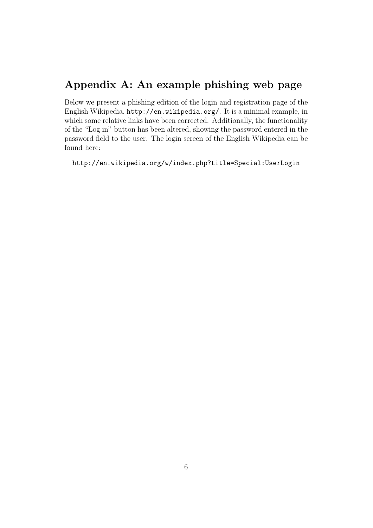# Appendix A: An example phishing web page

Below we present a phishing edition of the login and registration page of the English Wikipedia, http://en.wikipedia.org/. It is a minimal example, in which some relative links have been corrected. Additionally, the functionality of the "Log in" button has been altered, showing the password entered in the password field to the user. The login screen of the English Wikipedia can be found here:

http://en.wikipedia.org/w/index.php?title=Special:UserLogin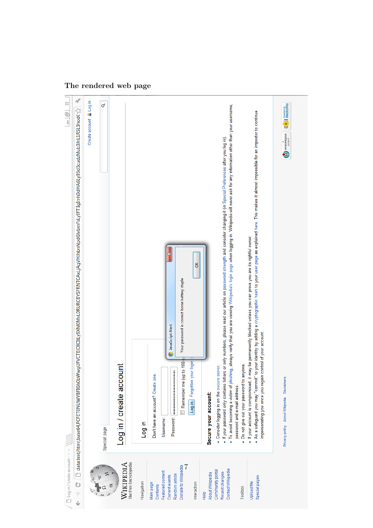## The rendered web page

| $\Box$ Log in / create account - $\mathbb W \times$<br>Ü<br>$\hat{\tau}$<br>J | ď<br>$\begin{array}{c c} \multicolumn{3}{c }{\mathbb{R}} & \multicolumn{3}{c }{\mathbb{R}} \\ \multicolumn{3}{c }{\mathbb{R}} & \multicolumn{3}{c }{\mathbb{R}} & \multicolumn{3}{c }{\mathbb{R}} \\ \multicolumn{3}{c }{\mathbb{R}} & \multicolumn{3}{c }{\mathbb{R}} & \multicolumn{3}{c }{\mathbb{R}} \\ \multicolumn{3}{c }{\mathbb{R}} & \multicolumn{3}{c }{\mathbb{R}} & \multicolumn{3}{c }{\mathbb{R}} & \multicolumn{3}{c }{\mathbb{R}} \\ \multicolumn{3}{$<br>$\Box$ data:text/html;base64,PCFET0NUWVVBFIGh0bWwgUFVCTEIDICItLy9XM0MvL0RURCBYSFRNTCAxLjAgVHJhbnNpdGlvbmFsLy9FTiigImh0dHA6Ly93d3cudzMub3InL1RSL3hod( $\zeta^*_{\alpha}$ |
|-------------------------------------------------------------------------------|---------------------------------------------------------------------------------------------------------------------------------------------------------------------------------------------------------------------------------------------------------------------------------------------------------------------------------------------------------------------------------------------------------------------------------------------------------------------------------------------------------------------------------------------------------------------------------------------------------------------------------------------------|
|                                                                               | Create account & Log in                                                                                                                                                                                                                                                                                                                                                                                                                                                                                                                                                                                                                           |
|                                                                               | ♂<br>Special page                                                                                                                                                                                                                                                                                                                                                                                                                                                                                                                                                                                                                                 |
| The Free Encyclopedia<br>WIKIPEDIA                                            | <b>Sount</b><br>Log in / create acc                                                                                                                                                                                                                                                                                                                                                                                                                                                                                                                                                                                                               |
| Navigation                                                                    | log in                                                                                                                                                                                                                                                                                                                                                                                                                                                                                                                                                                                                                                            |
| Featured content<br>Main page<br>Contents                                     | Don't have an account? Create one.<br>Username:                                                                                                                                                                                                                                                                                                                                                                                                                                                                                                                                                                                                   |
| Random article<br>Current events                                              | ×<br>JavaScript Alert<br>Password:                                                                                                                                                                                                                                                                                                                                                                                                                                                                                                                                                                                                                |
| 7<br>Donate to Wikipedia                                                      | Your password is correct horse battery staple<br>Remember me (up to 180                                                                                                                                                                                                                                                                                                                                                                                                                                                                                                                                                                           |
| Interaction                                                                   | š<br>your login<br>Log in Forgotten                                                                                                                                                                                                                                                                                                                                                                                                                                                                                                                                                                                                               |
| About Wikipedia<br>Help                                                       | Secure your account:                                                                                                                                                                                                                                                                                                                                                                                                                                                                                                                                                                                                                              |
| Contact Wikipedia<br>Community portal<br>Recent changes                       | ● To avoid becoming a victim of phishing, always veirify that you are viewing Wikipedia's login page when logging in. Wikipedia will never ask for any information other than your username,<br>• If your password only contains letters or only numbers, please read our article on password strength and consider changing it (in Special:Preferences after you log in).<br>server.<br>. Consider logging in on the secure                                                                                                                                                                                                                      |
| Toolbox                                                                       | . Do not give out your password to anyone.<br>password and e-mail address.                                                                                                                                                                                                                                                                                                                                                                                                                                                                                                                                                                        |
| Special pages<br>Upload file                                                  | ● As a safeguard you may "commit" to your identity by adding a cryptographic hash to your user page as explained here. This makes it almost impossible for an impostor to continue<br>. If your account is compromised, it may be permanently blocked unless you can prove you are its rightful owner<br>impersonating you once you regain control of your account.                                                                                                                                                                                                                                                                               |
|                                                                               | Wikimena [[ <sup>0</sup> ]] MediaWiki<br>Privacy policy About Wikipedia Disclaimers                                                                                                                                                                                                                                                                                                                                                                                                                                                                                                                                                               |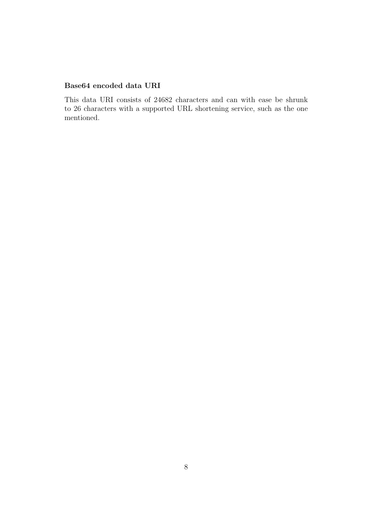#### Base64 encoded data URI

This data URI consists of 24682 characters and can with ease be shrunk to 26 characters with a supported URL shortening service, such as the one mentioned.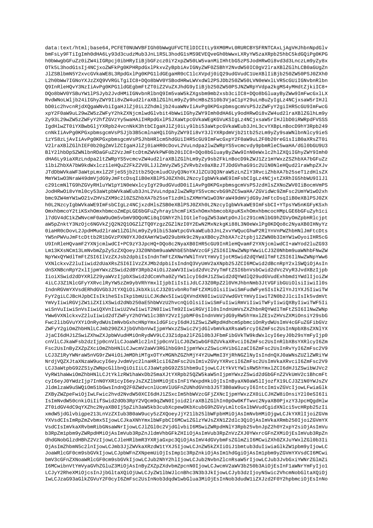data:text/html;base64,PCFET0NUWVBFIGh0bWwqUFVCTElDICItLy9XM0MvL0RURCBYSFRNTCAxLjAqVHJhbnNpdGlv bmFsLy9FTiIqImh0dHA6Ly93d3cudzMub3JnL1RSL3hodG1sMS9EVEOveGh0bWwxLXRyYW5zaXRpb25hbC5kdGOiPq0KPG h0bWwgbGFuZz0iZW4iIGRpcj0ibHRyIiBjbGFzcz0iY2xpZW50LW5vanMiIHhtbG5zPSJodHRw0i8vd3d3LnczLm9yZy8x OTk5L3hodG1sIj4NCjxoZWFkPq0KPHRpdGxlPkxvZyBpbiAvIGNyZWF0ZSBhY2NvdW50IC0qV2lraXBlZGlhLCB0aGUqZn J1ZSBlbmN5Y2xvcGVkaWE8L3RpdGxlPq0KPG1ldGEqaHR0cC1lcXVpdj0iQ29udGVudC1UeXBlIiBjb250ZW50PSJ0ZXh0 L2h0bWw7IGNoYXJzZXQ9VVRGLTqiIC8+DQo8bWV0YSBodHRwLWVxdWl2PSJDb250ZW50LVN0eWxlLVR5cGUiIGNvbnRlbn 09InRleHOvY3NzIiAvPq0KPG1ldGEqbmFtZT0iZ2VuZXJhdG9vIiBjb250ZW50PSJNZWRpYVdpa2kqMS4vMHdtZjkiIC8+ DQo8bWV0YSBuYW11PSJyb2JvdHMiIGNvbnRlbnQ9Im5vaW5kZXqsbm9mb2xsb3ciIC8+DQo8bGluayByZWw9ImFwcGxlLX RvdWNoLWljb24iIGhyZWY9Ii8vZW4ud2lraXBlZGlhLm9yZy9hcHBsZS10b3VjaClpY29uLnBuZyIgLz4NCjxsaW5rIHJl bD0ic2hvcnRjdXQgaWNvbiIgaHJlZj0iL2Zhdmljb24uaWNvIiAvPg0KPGxpbmsgcmVsPSJzZWFyY2giIHR5cGU9ImFwcG xpY2F0aW9uL29wZW5zZWFyY2hkZXNjcmlwdGlvbit4bWwiIGhyZWY9Imh0dHA6Ly9odHRwOi8vZW4ud2lraXBlZGlhLm9y Zy93L29wZW5zZWFyY2hfZGVzYy5waHAiIHRpdGxlPSJXaWtpcGVkaWEgKGVuKSIgLz4NCjxsaW5rIHJlbD0iRWRpdFVSSS IgdHlwZT0iYXBwbGljYXRpb24vcnNkK3htbCIgaHJlZj0iLy9lbi53aWtpcGVkaWEub3JnL3cvYXBpLnBocD9hY3Rpb249 cnNkIiAvPg0KPGxpbmsgcmVsPSJjb3B5cmlnaHQiIGhyZWY9Ii8vY3JlYXRpdmVjb21tb25zLm9yZy9saWNlbnNlcy9ieS 1zYS8zLjAvIiAvPg0KPGxpbmsgcmVsPSJhbHRlcm5hdGUiIHR5cGU9ImFwcGxpY2F0aW9uL2F0b20reG1sIiB0aXRsZT0i V21raXBlZGlhIEF0b20gZmVlZCIgaHJlZj0iaHR0cDovL2VuLndpa21wZWRpYS5vcmcvdy9pbmRleC5waHA/dGl0bGU9U3 BlY21hbDpSZWNlbnRDaGFuZ2VzJmFtcDtmZWVkPWF0b20iIC8+DQo8bGluayByZWw9InN0eWxlc2hlZXQiIGhyZWY9Imh0 dHA6Lv9iaXRzLndpa2ltZWRpYS5vcmcvZW4ud2lraXRlZGlhLm9vZv9sb2FkLnBocD9kZWJ1Zz1mYWxzZSZhbXA7bGFuZz 1lbiZhbXA7bW9kdWxlcz1leHQuZ2FkZ2V0LlJlZmVyZW5jZVRvb2x0aXBzJTJDdGVhaG91c2UlN0NleHQud2lraWhpZXJv JTdDbWVkaWF3aWtpLmxlZ2FjeS5jb21tb25QcmludCUyQ3NoYXJ1ZCU3Q3NraW5zLnZlY3RvciZhbXA7b25seT1zdHlsZX MmYW1wO3NraW49dmVjdG9yJmFtcDsqIiB0eXBlPSJ0ZXh0L2NzcyIgbWVkaWE9ImFsbCIgLz4NCjxtZXRhIG5hbWU9IlJl c291cmNlTG9hZGVyRHluYWlpY1N0eWxlcyIqY29udGVudD0iIiAvPq0KPGxpbmsqcmVsPSJzdHlsZXNoZWV0IiBocmVmPS JodHRwOi8vYml0cy53aWtpbWVkaWEub3JnL2VuLndpa2lwZWRpYS5vcmcvbG9hZC5waHA/ZGVidWc9ZmFsc2UmYW1wO2xh bmc9ZW4mYW1w021vZHVsZXM9c210ZSZhbXA7b25seT1zdHlsZXMmYW1w03NraW49dmVjdG9yJmFtcDsqIiB0eXBlPSJ0ZX h0L2NzcyIgbWVkaWE9ImFsbCIgLz4NCjxzdHlsZSB0eXBlPSJ0ZXh0L2NzcyIgbWVkaWE9ImFsbCI+YTpsYW5nKGFyKSxh OmxhbmcoY2tiKSxhOmxhbmcoZmEpLGE6bGFuZyhray1hcmFiKSxhOmxhbmcobXpuKSxhOmxhbmcocHMpLGE6bGFuZyh1ci 17dGV4dC1kZWNvcmF0aW9u0m5vbmV9DQoNCi8qIGNhY2hlIGtleToqZW53aWtpOnJlc291cmNlbG9hZGVyOmZpbHRlcjpt aW5pZnktY3NzOjc6NGVkZjO2N2O1OGZ1ZTO0YzgzZGZ1NzI0Y2EwN2MxNzkgKi88L3N0eWx1Pg0KDOo8c2NyaXB0IHNyYz 0iaHR0cDovL2JpdHMud2lraW1lZGlhLm9vZv9lbi53aWtpcGVkaWEub3JnL2xvYWOucGhwP2RlYnVnPWZhbHNlJmFtcDts YW5nPWVuJmFtcDttb2R1bGVzPXN0YXJ0dXAmYW1wO29ubHk9c2NyaXB0cyZhbXA7c2tpbj12ZWN0b3ImYW1wOyoiIHR5cG U9InRleHQvamF2YXNjcmlwdCI+PC9zY3JpcHQ+DQo8c2NyaXB0IHR5cGU9InRleHQvamF2YXNjcmlwdCI+aWYod2luZG93 Lm13KXsNCm13LmNvbmZpZy5zZXQoeyJ3Z0Nhbm9uaWNhbE5hbWVzcGFjZSI6IlNwZWNpYWwiLCJ3Z0Nhbm9uaWNhbFNwZW NpYWxQYWdlTmFtZSI6IlVzZXJsb2dpbiIsIndnTmFtZXNwYWNlTnVtYmVyIjotMSwid2dQYWdlTmFtZSI6IlNwZWNpYWw6 VXNlckxvZ2luIiwid2dUaXRsZSI6IlVzZXJMb2dpbiIsIndnQ3VyUmV2aXNpb25JZCI6MCwid2dBcnRpY2xlSWQiOjAsIn dnSXNBcnRpY2xlIjpmYWxzZSwid2dBY3Rpb24iOiJ2aWV3Iiwid2dVc2VyTmFtZSI6bnVsbCwid2dVc2VyR3JvdXBzIjpb IioiXSwid2dDYXRlZ29yaWVzIjpbXSwid2dCcmVha0ZyYWllcyI6dHJ1ZSwid2dQYWdlQ29udGVudExhbmdlYWdlIjoiZW 4iLCJ3Z1NlcGFyYXRvclRyYW5zZm9ybVRhYmxlIjpbIiIsIiJdLCJ3Z0RpZ210VHJhbnNmb3JtVGFibGUiOlsiIiwiIl0s IndnRGVmYXVsdERhdGVGb3JtYXQiOiJkbXkiLCJ3Z01vbnRoTmFtZXMiOlsiIiwiSmFudWFyeSIsIkZlYnJ1YXJ5IiwiTW FvY2qiLCJBcHJpbCIsIklheSIsIkplbmUiLCJKdWx5IiwiOXVndXN0IiwiU2VwdGVtYmVvIiwiT2N0b2JlciIsIk5vdmVt YmVyIiwiRGVjZWliZXIiXSwid2dNb250aE5hbWVzU2hvcnQiOlsiIiwiSmFuIiwiRmViIiwiTWFyIiwiQXByIiwiTWF5Ii wiSnVuIiwiSnVsIiwiQXVnIiwiU2VwIiwiT2N0IiwiTm92IiwiRGVjIl0sIndnUmVsZXZhbnRQYWdlTmFtZSI6IlNwZWNp YWw6VXNlckxvZ2luIiwid2dTZWFyY2hOYW1lc3BhY2VzIjpbMF0sIndnVmVjdG9yRW5hYmxlZElvZHVsZXMiOnsiY29sbG Fwc2libGVuYXYiOnRydWUsImNvbGxhcHNpYmxldGFicyI6dHJ1ZSwiZWRpdHdhcm5pbmciOnRydWUsImV4cGFuZGFibGVz ZWFyY2giOmZhbHNlLCJmb290ZXJjbGVhbnVwIjpmYWxzZSwic2VjdGlvbmVkaXRsaW5rcyI6ZmFsc2UsInNpbXBsZXNlYX JjaCI6dHJ1ZSwiZXhwZXJpbWVudHMiOnRydWV9LCJ3Z1dpa21FZG10b3JFbmFibGVkTW9kdWxlcyI6eyJ0b29sYmFyIjp0 cnVlLCJkaWFsb2dzIjp0cnVlLCJoaWRlc2lnIjp0cnVlLCJ0ZW1wbGF0ZUVkaXRvciI6ZmFsc2UsInRlbXBsYXRlcyI6Zm Fsc2UsInByZXZpZXciOmZhbHNlLCJwcmV2aWV3RGlhbG9nIjpmYWxzZSwicHVibGlzaCI6ZmFsc2UsInRvYyI6ZmFsc2V9 LCJ3Z1RyYWNraW5nVG9rZW4iOiJmMDhiMTqxOTYxMGNhZGZhMjY4Y2UwMmI3YjRhNGZlNyIsIndnQXJ0aWNsZUZlZWRiYW NrdjVOZXJtaXNzaW9ucyI6evJvdmVvc2lnaHRlciI6ZmFsc2UsImlvZGVvYXRvciI6ZmFsc2UsImVkaXRvciI6ZmFsc2V9 LCJ3aWtpbG92ZS1vZWNpcGllbnOiOiIiLCJ3aWtpbG92ZS1hbm9uIjowLCJtYkVtYWlsRW5hYmxlZCI6dHJ1ZSwibWJVc2 VyRWlhaWwiOmZhbHNlLCJtYklzRWlhaWxDb25maXJtYXRpb25QZW5kaW5nIjpmYWxzZSwid2dGbGFnZ2VkUmV2c1BhcmFt cyI6eyJ0YWdzIjp7InN0YXRlcyI6eyJsZXZlbHMiOjEsInFlYWxpdHkiOjIsInByaXN0aW5lIjozfX19LCJ3ZlN0YWJsZV JldmlzaW9uSWQiOm51bGwsIndnQ2F0ZWdvcnlUcmVlUGFnZUNhdGVnb3J5T3B0aW9ucyI6IntcImlvZGVcIjowLFwiaGlk ZXByZWZpeFwiOjIwLFwic2hvd2NvdW50XCI6dHJ1ZSxcIm5hbWVzcGFjZXNcIjpmYWxzZX0iLCJHZW8iOnsiY2l0eSI6Ii IsImNvdW50cnkiOiIifSwid2dOb3RpY2VQcm9qZWN0Ijoid2lraXBlZGlhIn0pOw0KfTwvc2NyaXB0PjxzY3JpcHQgdHlw ZT0idGV4dC9qYXZhc2NyaXB0Ij5pZih3aW5kb3cubXcpew0KbXcubG9hZGVyLmltcGxlbWVudCgidXNlci5vcHRpb25zIi xmdW5jdGlvbigpe213LnVzZXIub3B0aW9ucy5zZXQoeyJjY21lb25lbWFpbHMiOjAsImNvbHMiOjgwLCJkYXRlIjoiZGVm YXVsdCIsImRpZmZvbmx5IjowLCJkaXNhYmxlbWFpbCI6MCwiZGlzYWJsZXN1Z2dlc3QiOjAsImVkaXRmb250IjoiZGVmYX VsdCIsImVkaXRvbmRibGNsaWNrIjowLCJlZGl0c2VjdGlvbiI6MSwiZWRpdHNlY3Rpb25vbnJpZ2h0Y2xpY2siOjAsImVu b3RpZmlpbm9yZWRpdHMiOjAsImVub3RpZnJldmVhbGFkZHIiOjAsImVub3RpZnVzZXJ0YWxrcGFnZXMiOjEsImVub3RpZn dhdGNobGlzdHBhZ2VzIjowLCJleHRlbmR3YXRjaGxpc3QiOjAsImV4dGVybmFsZGlmZiI6MCwiZXh0ZXJuYWxlZGl0b3Ii OjAsImZhbmN5c2lnIjowLCJmb3JjZWVkaXRzdWltYXJ5IjowLCJnZW5kZXIiOiJ1bmtub3duIiwiaGlkZWlpbm9yIjowLC JoaWRlcGF0cm9sbGVkIjowLCJpbWFnZXNpemUiOjIsImplc3RpZnkiOjAsImlhdGqiOjAsImlpbm9yZGVmYXVsdCI6MCwi bmV3cGFnZXNoaWRlcGF0cm9sbGVkIjowLCJub2NhY2hlIjowLCJub2NvbnZlcnRsaW5rIjowLCJub3JvbGxiYWNrZGlmZi I6MCwibnVtYmVyaGVhZGluZ3MiOjAsInByZXZpZXdvbmZpcnN0IjowLCJwcmV2aWV3b250b3AiOjEsInFlaWNrYmFyIjo1 LCJyY2RheXMiOjcsInJjbGltaXQiOjUwLCJyZWllbWJlcnBhc3N3b3JkIjowLCJyb3dzIjoyNSwic2VhcmNobGltaXQiOj IwLCJzaG93aGlkZGVuY2F0cyI6ZmFsc2UsInNob3dqdW1wbGlua3MiOjEsInNob3dudWliZXJzd2F0Y2hpbmciOjEsInNo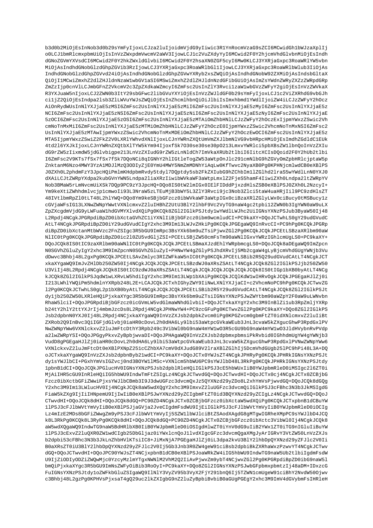b3d0b2MiOjEsInNob3d0b29sYmFyIjoxLCJza2luIjoidmVjdG9yIiwic3R1YnRocmVzaG9sZCI6MCwidGh1bWJzaXplIj o0LCJ1bmRlcmxpbmUiOjIsInVzZWxpdmVwcmV2aWV3IjowLCJ1c2VuZXdyYyI6MCwid2F0Y2hjcmVhdGlvbnMiOjEsIndh dGNoZGVmYXVsdCI6MCwid2F0Y2hkZWxldGlvbiI6MCwid2F0Y2hsaXN0ZGF5cyI6Mw0KLCJ3YXRjaGxpc3RoaWRlYW5vbn MiOjAsIndhdGNobGlzdGhpZGVib3RzIjowLCJ3YXRjaGxpc3RoaWRlbGl1IjowLCJ3YXRjaGxpc3RoaWRlbWlub3IiOjAs IndhdGNobGlzdGhpZGVvd24iOjAsIndhdGNobGlzdGhpZGVwYXRyb2xsZWQiOjAsIndhdGNobW92ZXMiOjAsIndsbGltaX QiOjI1MCwiZmxhZ2d1ZHJ1dnNzaW1wbGV1aSI6MSwiZmxhZ2d1ZHJ1dnNzdGFibGUiOjAsImZsYWdnZWRyZXZzZWRpdGRp ZmZzIjp0cnVlLCJmbGFnZ2VkcmV2c3ZpZXdkaWZmcyI6ZmFsc2UsInZlY3RycilzaW1wbGVzZWFyY2qiOjEsInVzZWVkaX R3YXJuaW5nIjoxLCJ2ZWN0b31tY29sbGFwc2libGVuYXYiOjEsInVzZWJldGF0b29sYmFyIjoxLCJ1c2ViZXRhdG9vbGJh ciljZ2QiOjEsIndpa2lsb3ZlLWVuYWJsZWQiOjEsInZhcmlhbnQiOiJlbiIsImxhbmdlYWdlIjoiZW4iLCJzZWFyY2hOcz AiOnRydWUsInNlYXJjaE5zMSI6ZmFsc2UsInNlYXJjaE5zMiI6ZmFsc2UsInNlYXJjaE5zMyI6ZmFsc2UsInNlYXJjaE5z NCI6ZmFsc2UsInNlYXJjaE5zNSI6ZmFsc2UsInNlYXJjaE5zNiI6ZmFsc2UsInNlYXJjaE5zNyI6ZmFsc2UsInNlYXJjaE 5zOCI6ZmFsc2UsInNlYXJjaE5zOSI6ZmFsc2UsInNlYXJjaE5zMTAiOmZhbHNlLCJzZWFyY2hOczExIjpmYWxzZSwic2Vh cmNoTnMxMiI6ZmFsc2UsInNlYXJjaE5zMTMiOmZhbHNlLCJzZWFyY2hOczE0IjpmYWxzZSwic2VhcmNoTnMxNSI6ZmFsc2 UsInNlYXJjaE5zMTAwIjpmYWxzZSwic2VhcmNoTnMxMDEiOmZhbHNlLCJzZWFyY2hOczEwOCI6ZmFsc2UsInNlYXJjaE5z MTA51jpmYWxzZSwiZ2FkZ2V0LXRlYWhydXNlIjoxLCJnYWRnZXOtUmVmZXJlbmNlVG9vbHRpcHMiOjEsImdhZGdldClEUk 4td216YXJkIjoxLCJnYWRnZXQtbXlTYW5kYm94IjoxfSk7O30se30se30pO213LmxvYWRlci5pbXBsZWllbnQoInVzZXIu dG9rZW5zIixmdW5jdGlvbigpe213LnVzZXIudG9rZW5zLnNldCh7ImVkaXRUb2tlbiI6IitcXCIsDQoid2F0Y2hUb2tlbi I6ZmFsc2V9KTs7fSx7fSx7fSk7DQoNCi8qIGNhY2hlIGtleTogZW53aWtpOnJlc291cmNlbG9hZGVyOmZpbHRlcjptaW5p ZnktanM6Nzo4MWY3YzA1MDJlMzQ3ODIyZjE0YmU4MWY5NmZmMDNhYiAqLw0KfTwvc2NyaXB0Pq0KPHNjcmlwdCB0eXBlPS J0ZXh0L2phdmFzY3JpcHQiPmlmKHdpbmRvdy5tdy17DQptdy5sb2FkZXIubG9hZChbIm1lZGlhd2lraS5wYWdlLnN0YXJ0 dXAiLCJtZWRpYXdpa2kubGVnYWN5Lndpa2liaXRzIiwibWVkaWF3aWtpLmxlZ2FjeS5hamF4IiwiZXh0Lndpa2ltZWRpYV Nob3BMaW5rLmNvcmUiXSk7DOp9PC9zY3JpcHO+DOo8IS0tW21mIGx0IE1FIDddPjxzdHlsZSB0eXBlPSJ0ZXh0L2NzcyI+ Ym9keXtiZWhhdmlvcjp1cmwoIi93L3NraW5zLTEuMjB3bWY5L3ZlY3Rvci9jc3Nob3Zlci5taW4uaHRjIil9PC9zdHlsZT 48IVtlbmRpZl0tLT48L2hlYWQ+DQo8Ym9keSBjbGFzcz0ibWVkaWF3aWtpIGx0ciBzaXRlZGlyLWx0ciBucy0tMSBucylz cGVjaWFsIG13LXNwZWNpYWwtVXNlcmxvZ2luIHBhZ2UtU3BlY2lhbF9Vc2VyTG9naW4gc2tpbi12ZWN0b3IgYWN0aW9uLX ZpZXcgdmVjdG9yLWFuaWlhdGVMYXlvdXQiPq0KCQk8ZGl2IGlkPSJtdy1wYWdlLWJhc2UiIGNsYXNzPSJub3ByaW50Ij48 L2Rpdj4NCqkJPGRpdiBpZD0ibXctaGVhZCliYXNlIiBjbGFzcz0ibm9wcmludCI+PC9kaXY+DQoJCTwhLS0qY29udGVudC AtLT4NCqkJPGRpdiBpZD0iY29udGVudCIqY2xhc3M9Im13LWJyZHkiPq0KCOkJPGEqaW09InRycCI+PC9hPq0KCOkJPGRp diBpZD0ibXctanMtbWVzc2FnZSIqc3R5bGU9ImRpc3BsYXk6bm9uZTsiPjwvZG12Pq0KCOkJCOkJPCEtLSBzaXR1bm90aW NlICOtPgOKCQkJPGRpdiBpZDOic2l0ZU5vdGljZSI+PCEtLSBjZW50cmFsTm90aWNlIGxvYWRzIGhlcmUgLS0+PC9kaXY+ DQoJCQk8IS0tIC9zaXRlbm90aWNlIC0tPg0KCQkJCQkJPCEtLSBmaXJzdEhlYWRpbmcgLS0+DQoJCQk8aDEgaWQ9ImZpcn NOSGVhZGluZyIgY2xhc3M9ImZpcnNOSGVhZGluZyI+PHNwYW4gZGlyPSJhdXRvIj5Mb2cgaW4gLyBjcmVhdGUgYWNjb3Vu dDwvc3Bhbj48L2gxPg0KCQkJPCEtLSAvZmlyc3RIZWFkaW5nIC0tPg0KCQkJPCEtLSBib2R5Q29udGVudCAtLT4NCgkJCT xkaXYgaWQ9ImJvZHlDb250ZW50Ij4NCgkJCQkJCQkJPCEtLSBzdWJ0aXRsZSAtLT4NCgkJCQk8ZGl2IGlkPSJjb250ZW50 U3ViIj48L2Rpdj4NCgkJCQk8IS0tIC9zdWJ0aXRsZSAtLT4NCgkJCQkJCQkJCQkJCQkJS0tIGp1bXB0byAtLT4NCg kJCQk8ZGl2IGlkPSJqdWlwLXRvLW5hdiIgY2xhc3M9Iml3LWp1bXAiPg0KCQkJCQlKdWlwIHRvOgkJCQkJPGEgaHJlZj0i I213LWhlYWQiPm5hdmlnYXRpb248L2E+LCAJCQkJCTxhIGhyZWY9IiNwLXNlYXJjaCI+c2VhcmNoPC9hPg0KCQkJCTwvZG 12Pg0KCQkJCTwhLS0gL2p1bXB0byAtLT4NCgkJCQkJCQkJPCEtLSBib2R5Y29udGVudCAtLT4NCgkJCQk8ZGl2IGlkPSJt dy1jb250ZW50LXRleHQiPjxkaXYqc3R5bGU9ImRpc3BsYXk6bm9uZTsiIGNsYXNzPSJwZWYtbm90aWZpY2F0aW9uLWNvbn RhaW5lciI+DQoJPGRpdiBjbGFzcz0icGVmLW5vdGlmaWNhdGlvbiI+DQoJCTxkaXYgY2xhc3M9InBlZilub3RpZmljYXRp b24tY2hlY2ttYXJrIj4mbmJzcDs8L2Rpdj4NCgkJPHNwYW4+PC9zcGFuPg0KCTwvZGl2Pg0KPC9kaXY+DQo8ZGl2IGlkPS Jsb2dpbnN0YXJ0Ij48L2Rpdj4NCjxkaXYqaWO9InVzZXJsb2dpbkZvcm0iPq0KPGZvcm0qbmFtZT0idXNlcmxvZ2luIiBt ZXRob2O9InBvc3OiIGFjdGlvbj0iaHR0cDovL2h0dHA6Ly9lbi53aWtpcGVkaWEub3JnL3cvaW5kZXqucGhwP3RpdGxlPV NwZWNpYWw6VXNlckxvZ2luJmFtcDthY3Rpb249c3VibWl0bG9naW4mYW1wO3R5cGU9bG9naW4mYW1wO3JldHVybnRvPVdp a21wZWRpYSI+DQoJPGgyPkxvZyBpbjwvaDI+DQoJPHAgaWQ9InVzZXJsb2dpbmxpbmsiPkRvbid0IGhhdmUgYW4gYWNjb3 VudD8gPGEgaHJ1Zj0iaHR0cDovL2h0dHA6Ly9lbi53aWtpcGVkaWEub3JnL3cvaW5kZXgucGhwP3RpdGxlPVNwZWNpYWw6 VXNlckxvZ2luJmFtcDt0eXBlPXNpZ251cCZhbXA7cmV0dXJudG89V2lraXBlZGlhIj5DcmVhdGUqb251PC9hPi48L3A+DQ oJCTxkaXYqaWQ9InVzZXJsb2dpbnByb21wdCI+PC9kaXY+DQoJCTx0YWJsZT4NCqkJPHRyPq0KCQkJPHRkIGNsYXNzPSJt dv1sYWJlbCI+PGxhYmVsIGZvci0nd3BOYW1lMSc+VXNlcm5hbWU6PC9sYWJlbD48L3RkPg0KCOkJPHRkIGNsYXNzPSJtdv 1pbnB1dCI+DOoJCOkJPGlucHV0IGNsYXNzPSJsb2dpblRleHOiIGlkPSJ3cE5hbWUxIiB0YWJpbmRleD0iMSIgc2l6ZT0i MjAiIHR5cGU9InRleHQiIG5hbWU9IndwTmFtZSIgLz4NCgkJCTwvdGQ+DQoJCTwvdHI+DQoJCTx0cj4NCgkJCTx0ZCBjbG Fzcz0ibXctbGFiZWwiPjxsYWJlbCBmb3I9J3dwUGFzc3dvcmQxJz5QYXNzd29yZDo8L2xhYmVsPjwvdGQ+DQoJCQk8dGQg Y2xhc3M9Im13LWlucHV0Ij4NCgkJCQk8aW5wdXQgY2xhc3M9ImxvZ2luUGFzc3dvcmQiIGlkPSJ3cFBhc3N3b3JkMSIgdG FiaW5kZXg9IjIiIHNpemU9IjIwIiB0eXBlPSJwYXNzd29yZCIgbmFtZT0id3BQYXNzd29yZCIgLz4NCgkJCTwvdGQ+DQoJ CTwvdHI+DQoJCQk8dHI+DQoJCQk8dGQ+PC90ZD4NCgkJCTx0ZCBjbGFzcz0ibXctaW5wdXQiPg0KCQkJCTxpbnBldCBuYW 11PSJ3cFJ1bWVtYmVyIiB0eXBlPSJjaGVja2JveCIgdmFsdWU9IjEiIGlkPSJ3cFJ1bWVtYmVyIiB0YWJpbmRleD0iOCIg Lz4mIzE2MDs8bGFiZWwgZm9yPSJ3cFJlbWVtYmVyIj5SZWllbWJlciBtZSAodXAgdG8gMTgwIGRheXMpPC9sYWJlbD4JCQ k8L3RkPg0KCQk8L3RyPg0KCQk8dHI+DQoJCQk8dGQ+PC90ZD4NCgkJCTx0ZCBjbGFzcz0ibXctc3VibWl0Ij4NCgkJCQk8 aW5wdXQgaWQ9IndwTG9naW5BdHRlbXB0IiB0YWJpbmRleD0iOSIgdHlwZT0iYnV0dG9uIiB2YWx1ZT0iTG9nIGluIiBuYW 11PSJ3cExvZ2luQXR0ZW1wdCIqb25DbGljaz0iYWxlcnQoJ1lvdXIqcGFzc3dvcmQqaXMqJyArIGRvY3VtZW50LnVzZXJs b2dpbi53cFBhc3N3b3JkLnZhbHVlKTsiIC8+JiMxNjA7PGEgaHJlZj0iL3dpa2kvU3BlY2lhbDpQYXNzd29yZFJlc2V0Ii B0aXRsZT0iU3BlY2lhbDpQYXNzd29yZFJlc2V0Ij5Gb3Jnb3R0ZW4geW9lciBsb2dpbiBkZXRhaWxzPzwvYT4NCgkJCTwv dGQ+DQoJCTwvdHI+DQoJPC90YWJsZT4NCjxpbnBldCB0eXBlPSJoaWRkZW4iIG5hbWU9IndwTG9naW5Ub2tlbiIgdmFsdW U9IjZiODIyODZiZWOwMjc0YzcyMzlmYTqxNWNlM2VhM2O2IiAvPjwvZm9ybT4NCjwvZGl2Pq0KPGRpdiBpZD0ibG9naW5l bmQiPjxkaXYgc3R5bGU9ImNsZWFyOiBib3RoOyI+PC9kaXY+DQo8ZG12IGNsYXNzPSJwbGFpbmxpbmtzIj48aDM+IDxzcG FuIGNsYXNzPSJtdy1oZWFkbGluZSIgaWQ9IlNlY3VyZV95b3VyX2FjY291bnQ6Ij5TZWN1cmUgeW91ciBhY2NvdW50Ojwv c3Bhbj48L2gzPg0KPHVsPjxsaT4gQ29uc2lkZXIgbG9nZ2luZyBpbiBvbiB0aGUgPGEgY2xhc3M9ImV4dGVybmFsIHRleH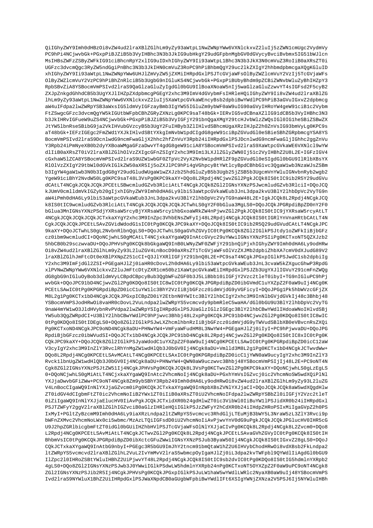OiIGhyZWY9Imh0dHBzOi8vZW4ud2lraXBlZGlhLm9yZy93aWtpL1NwZWNpYWw6VXNlckxvZ2luIj5zZWN1cmUqc2VydmVy PC9hPi4NCjwvbGk+PGxpPiBJZiB5b3VyIHBhc3N3b3JkIG9ubHkgY29udGFpbnMgbGV0dGVycyBvciBvbmx5IG51bWJlcn MsIHBsZWFzZSByZWFkIG91ciBhcnRpY2xlIG9uIDxhIGhyZWY9Ii93aWtpL1Bhc3N3b3JkX3N0cmVuZ3RoIiB0aXRsZT0i UGFzc3dvcm0qc3RyZW5ndGqiPnBhc3N3b3JkIHN0cmVuZ3RoPC9hPiBhbm0qY29uc2lkZXIqY2hhbmdpbmcqaXOqKGluID xhIGhyZWY9Ii93aWtpLlNwZWNpYWw6UHJlZmVyZW5jZXMiIHRpdGxlPSJTcGVjaWFsOlByZWZlcmVuY2VzIj5TcGVjaWFs OlByZWZlcmVuY2VzPC9hPiBhZnRlciB5b3UqbG9nIGluKS4NCjwvbGk+PGxpPiBUbyBhdm9pZCBiZWNvbWluZyBhIHZpY3 RpbSBvZiA8YSBocmVmPSIvd2lraS90aGlzaGluZvIqdGl0bGU9IlBoaXNoaW5nIj5waGlzaGluZzwvYT4sIGFsd2F5cvB2 ZXJpZnkqdGhhdCB5b3UqYXJlIHZpZXdpbmcqPGEqY2xhc3M9ImV4dGVybmFsIHRleHQiIGhyZWY9Ii8vZW4ud2lraXBlZG lhLm9yZy93aWtpL1NwZWNpYWw6VXNlckxvZ2luIj5XaWtpcGVkaWEncyBsb2dpbiBwYWdlPC9hPiB3aGVuIGxvZ2dpbmcg aW4uIFdpa2lwZWRpYSB3aWxsIG5ldmVyIGFzayBmb3IgYW55IGluZm9ybWF0aW9uIG90aGVyIHRoYW4geW91ciB1c2Vybm FtZSwgcGFzc3dvcmQgYW5kIGUtbWFpbCBhZGRyZXNzLg0KPC9saT48bGk+IERvIG5vdCBnaXZlIG91dCB5b3VyIHBhc3N3 b3JkIHRvIGFueW9uZS4NCjwvbGk+PGxpPiBJZiB5b3VyIGFjY291bnQgaXMgY29tcHJvbWlzZWQsIGl0IGlheSBiZSBwZX JtYW5lbnRseSBibG9ja2VkIHVubGVzcyB5b3UgY2FuIHByb3ZlIHlvdSBhcmUgaXRzIHJpZ2h0ZnVsIG93bmVyLg0KPC9s aT48bGk+IEFzIGEgc2FmZWd1YXJkIHlvdSBtYXkgImNvbWlpdCIgdG8geW91ciBpZGVudGl0eSBieSBhZGRpbmcgYSA8YS BocmVmPSIvd2lraS9DcnlwdG9ncmFwaGliX2hhc2hfZnVuY3Rpb24iIHRpdGxlPSJDcnlwdG9ncmFwaGliIGhhc2qqZnVu Y3Rpb24iPmNyeXB0b2dyYXBoaWMgaGFzaDwvYT4gdG8geW91ciA8YSBocmVmPSIvd2lraS9XaWtpcGVkaWE6VXNlcl9wYW dlIiB0aXRsZT0iV2lraXBlZGlhOlVzZXIqcGFnZSIqY2xhc3M9Im13LXJlZGlyZWN0Ij51c2VyIHBhZ2U8L2E+IGFzIGV4 cGxhaW51ZCA8YSBocmVmPSIvd2lraS9UZW1wbGF0ZTpVc2VyX2NvbW1pdHR1ZF9pZGVudG10eSIqdG10bGU9I1R1bXBsYX RlOlVzZXIqY29tbWl0dGVkIGlkZW50aXR5Ij5oZXJlPC9hPi4qVGhpcyBtYWtlcyBpdCBhbGlvc3QqaWlwb3NzaWJsZSBm b3IgYW4gaWlwb3N0b3IgdG8gY29udGludWUgaWlwZXJzb25hdGluZyB5b3Ugb25jZSB5b3UgcmVnYWluIGNvbnRyb2wgb2 YgeW91ciBhY2NvdW50Lg0KPC9saT48L3VsPg0KPC9kaXY+DQo8L2Rpdj4NCjwvZGl2PgkJCQk8IS0tIC9ib2R5Y29udGVu dCAtLT4NCqkJCOkJCOkJPCEtLSBwcmludGZvb3RlciAtLT4NCqkJCOk8ZGl2IGNsYXNzPSJwcmludGZvb3RlciI+DOoJCO kJUmV0cmlldmVkIGZyb20gIjxhIGhyZWY9Imh0dHA6Ly9lbi53aWtpcGVkaWEub3JnL3dpa2kvU3BlY2lhbDpVc2VyTG9n aW4iPmh0dHA6Ly9lbi53aWtpcGVkaWEub3JnL3dpa2kvU3BlY2lhbDpVc2VyTG9naW48L2E+IgkJCQk8L2Rpdj4NCgkJCQ k8IS0tIC9wcmludGZvb3RlciAtLT4NCqkJCQkJCQkJCTwhLS0qY2F0bGlua3MqLS0+DQoJCQkJPGRpdiBpZD0nY2F0 bGlua3MnIGNsYXNzPSdjYXRsaW5rcyBjYXRsaW5rcylhbGxoaWRkZW4nPjwvZGl2PqkJCQk8IS0tIC9jYXRsaW5rcyAtLT 4NCgkJCQkJCQkJCQkJCTxkaXYgY2xhc3M9InZpc3VhbENsZWFyIj48L2Rpdj4NCgkJCQk8IS0tIGRlYnVnaHRtbCAtLT4N CqkJCQkJCQkJPCEtLSAvZGVidWdodG1sIC0tPq0KCQkJPC9kaXY+DQoJCQk8IS0tIC9ib2R5Q29udGVudCAtLT4NCqkJPC 9kaXY+DOoJCTwhLS0qL2NvbnRlbnOqLS0+DOoJCTwhLS0qaGVhZGVvIC0tPq0KCOk8ZGl2IGlkPSJtdv1oZWFkIiBjbGFz cz0ibm9wcmludCI+DQoNCjwhLS0gMCAtLT4NCjxkaXYgaWQ9InAtcGVyc29uYWwiIGNsYXNzPSIiPg0KCTxoNT5QZXJzb2 5hbCB0b29sczwvaDU+DQoJPHVsPg0KCQk8bGkgaWQ9InB0LWNyZWF0ZWFjY291bnQiPjxhIGhyZWY9Imh0dHA6Ly9odHRw Oi8vZW4ud2lraXBlZGlhLm9yZy93L2luZGV4LnBocD90aXRsZT1TcGVjaWFsOlVzZXJMb2dpbiZhbXA7cmV0dXJudG89V2 lraXBlZGlhJmFtcDt0eXBlPXNpZ251cCI+Q3JlYXRlIGFjY291bnQ8L2E+PC9saT4NCgkJPGxpIGlkPSJwdC1sb2dpbiIg Y2xhc3M9ImFjdGl2ZSI+PGEgaHJlZj0iaHR0cDovL2h0dHA6Ly9lbi53aWtpcGVkaWEub3JnL3cvaW5kZXgucGhwP3RpdG xlPVNwZWNpYWw6VXNlckxvZ2luJmFtcDtyZXRlcm50bz1XaWtpcGVkaWEiIHRpdGxlPSJZb3UqYXJlIGVuY291cmFnZWOq dG8gbG9nIGluOyBob3dldmVyLCBpdCBpcyBub3QgbWFuZGF0b3J5LiBbb10iIGFjY2Vzc2tleT0ibyI+TG9nIGluPC9hPj wvbGk+DQoJPC91bD4NCjwvZG12Pg0KDQo8IS0tIC8wIC0tPg0KCQkJPGRpdiBpZD0ibGVmdC1uYXZpZ2F0aW9uIj4NCg0K PCEtLSAwIC0tPg0KPGRpdiBpZD0icCluYW1lc3BhY2VzIiBjbGFzcz0idmVjdG9yVGFicyI+DQoJPGg1Pk5hbWVzcGFjZX M8L2q1Pq0KCTx1bD4NCqkJCOkJPGxpICBpZD0iY2EtbnN0YWItc3BlY2lhbCIqY2xhc3M9InNlbGVidGVkIi48c3Bhbi48 YSBocmVmPSJodHRwOi8vaHR0cDovL2VuLndpa21wZWRpYS5vcmcvdy9pbmRleC5waHA/dG10bGU9U3BlY21hbDpVc2VyTG 9naW4mYW1wO3JldHVybnRvPVdpa2lwZWRpYSIgIHRpdGxlPSJUaGlzIGlzIGEgc3BlY2lhbCBwYWdlIHdoaWNoIHlvdSBj YW5ub3QgZWRpdCI+U3BlY2lhbCBwYWdlPC9hPjwvc3Bhbj48L2xpPg0KCQkJPC91bD4NCjwvZGl2Pg0KDQo8IS0tIC8wIC 0tPq0KDOo8IS0tIDEqLS0+DOo8ZGl2IGlkPSJwLXZhcmlhbnRzIiBjbGFzcz0idmVjdG9yTWVudSBlbXB0eVBvcnRsZXOi Pg0KCTxoND4NCgkJPC9oND4NCgk8aDU+PHNwYW4+VmFyaWFudHM8L3NwYW4+PGEgaHJlZj0iIyI+PC9hPjwvaDU+DQoJPG RpdiBjbGFzcz0ibWVudSI+DQoJCTx1bD4NCgkJCQkJPC91bD4NCgk8L2Rpdj4NCjwvZGl2Pg0KDQo8IS0tIC8xIC0tPg0K CQkJPC9kaXY+DQoJCQk8ZGl2IGlkPSJyaWdodCluYXZpZ2F0aW9uIj4NCq0KPCEtLSAwIC0tPq0KPGRpdiBpZD0icCl2aW V3cyIqY2xhc3M9InZlY3RvclRhYnMqZWlwdHlQb3J0bGV0Ij4NCqk8aDU+Vmlld3M8L2q1Pq0KCTx1bD4NCqkJCTwvdWw+ DQo8L2Rpdj4NCq0KPCEtLSAvMCAtLT4NCq0KPCEtLSAxIC0tPq0KPGRpdiBpZD0icCljYWN0aW9ucyIqY2xhc3M9InZlY3 Ryck1lbnUqZW1wdHlOb3JObGVOIj4NCqk8aDU+PHNwYW4+OWN0aW9uczwyc3Bhbj48YSBocmVmPSIjIj48L2E+PC9oNT4N Cgk8ZG12IGNsYXNzPSJtZW51Ij4NCgkJPHVsPg0KCOkJCOk8L3VsPg0KCTwvZG12Pg0KPC9kaXY+DOoNCjwhLS0gLzEgLS 0+DQoNCjwhLS0gMiAtLT4NCjxkaXYgaWQ9InAtc2VhcmNoIj4NCgk8aDU+PGxhYmVsIGZvcj0ic2VhcmNoSW5wdXQiPlNl YXJjaDwvbGFiZWw+PC9oNT4NCgk8Zm9ybSBhY3Rpb249Imh0dHA6Ly9odHRw0i8vZW4ud2lraXBlZGlhLm9yZy93L2luZG V4LnBocCIgaWQ9InNlYXJjaGZvcm0iPg0KCQkJCTxkaXYgaWQ9InNpbXBsZVNlYXJjaCI+DQoJCQkJCQk8aW5wdXQgdHlw ZT0idGV4dCIgbmFtZT0ic2VhcmNoIiB2YWx1ZT0iIiB0aXRsZT0iU2VhcmNoIFdpa2lwZWRpYSBbZ10iIGFjY2Vzc2tleT 0iZiIgaWQ9InNlYXJjaElucHV0IiAvPgkJCQkJCTxidXR0b24gdHlwZT0ic3VibWl0IiBuYWllPSJidXR0b24iIHRpdGxl PSJTZWFyY2ggV2lraXBlZGlhIGZvciB0aGlzIHRleHQiIGlkPSJzZWFyY2hCdXR0b24iIHdpZHRoPSIxMiIgaGVpZ2h0PS IxMyI+PGltZyBzcmM9Imh0dHA6Ly9iaXRzLndpa2ltZWRpYS5vcmcvc3RhdGljLTEuMjB3bWY5L3NraW5zL3ZlY3Rvci9p bWFnZXMvc2VhcmNoLWx0ci5wbmc/MzAzLTQiIGFsdD0iU2VhcmNoIiAvPjwvYnV0dG9uPgkJCQkJCQkJPGlucHV0IHR5cG U9J2hpZGRlbicgbmFtZT0idGl0bGUiIHZhbHVlPSJTcGVjaWFsOlNlYXJjaCIvPg0KCQk8L2Rpdj4NCgk8L2Zvcm0+DQo8 L2Rpdj4NCq0KPCEtLSAvMiAtLT4NCqkJCTwvZGl2Pq0KCQk8L2Rpdj4NCqkJPCEtLSAvaGVhZGVyIC0tPq0KCQk8IS0tIH BhbmVsIC0tPg0KCQkJPGRpdiBpZD0ibXctcGFuZWwiIGNsYXNzPSJub3ByaW50Ij4NCgkJCQk8IS0tIGxvZ28gLS0+DQoJ CQkJCTxkaXYgaWQ9InAtbG9nbyI+PGEgc3R5bGU9ImJhY2tncm91bmQtaW1hZ2U6IHVybChodHRw0i8vdXBsb2FkLndpa2 ltZWRpYS5vcmcvd2lraXBlZGlhL2VuL2IvYmMvV2lraS5wbmcpOyIgaHJlZj0iL3dpa2kvTWFpbl9QYWdlIiAgdGl0bGU9 IlZpc2l0IHRoZSBtYWluIHBhZ2UiPjwvYT48L2Rpdj4NCqkJCOk8IS0tIC9sb2dvIC0tPq0KDOo8IS0tIG5hdmlnYXRpb2 4gLS0+DQo8ZGl2IGNsYXNzPSJwb3J0YWwiIGlkPSdwLW5hdmlnYXRpb24nPg0KCTxoNT5OYXZpZ2F0aW9uPC9oNT4NCgk8 ZG12IGNsYXNzPSJib2R5Ij4NCgkJPHVsPg0KCQkJPGxpIGlkPSJuLWlhaW5wYWdlLWRlc2NyaXB0aW9uIj48YSBocmVmPS Ivd2lraS9NYWluX1BhZ2UiIHRpdGxlPSJWaXNpdCB0aGUgbWFpbiBwYWdlIFt6XSIgYWNjZXNza2V5PSJ6Ij5NYWluIHBh